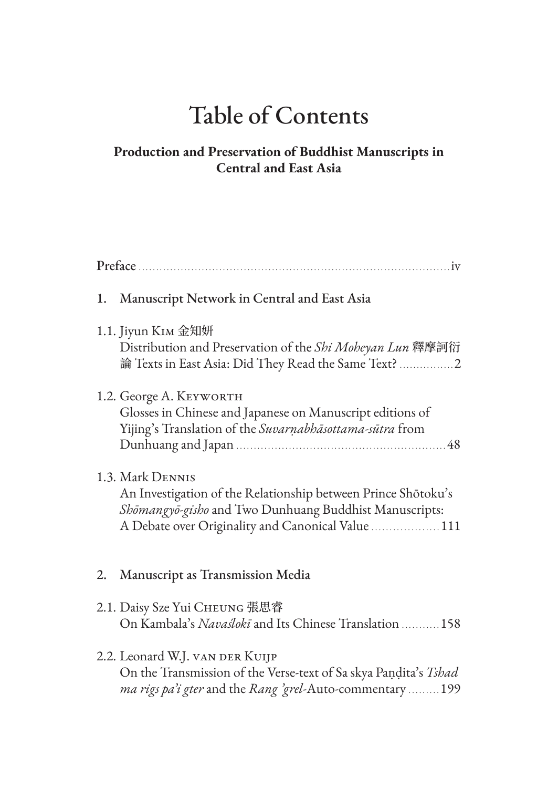## Table of Contents

## **Production and Preservation of Buddhist Manuscripts in Central and East Asia**

| 1. | Manuscript Network in Central and East Asia                                                                                                                                                       |
|----|---------------------------------------------------------------------------------------------------------------------------------------------------------------------------------------------------|
|    | 1.1. Jiyun KIM 金知妍<br>Distribution and Preservation of the Shi Moheyan Lun 釋摩訶衍<br>論 Texts in East Asia: Did They Read the Same Text?                                                             |
|    | 1.2. George A. KEYWORTH<br>Glosses in Chinese and Japanese on Manuscript editions of<br>Yijing's Translation of the Suvarnabhāsottama-sūtra from                                                  |
|    | 1.3. Mark DENNIS<br>An Investigation of the Relationship between Prince Shōtoku's<br>Shomangyo-gisho and Two Dunhuang Buddhist Manuscripts:<br>A Debate over Originality and Canonical Value  111 |
| 2. | Manuscript as Transmission Media                                                                                                                                                                  |
|    | 2.1. Daisy Sze Yui CHEUNG 張思睿<br>On Kambala's Navaslokī and Its Chinese Translation  158                                                                                                          |
|    | 2.2. Leonard W.J. VAN DER KUIJP<br>On the Transmission of the Verse-text of Sa skya Pandita's Tshad<br>ma rigs pa'i gter and the Rang 'grel-Auto-commentary 199                                   |